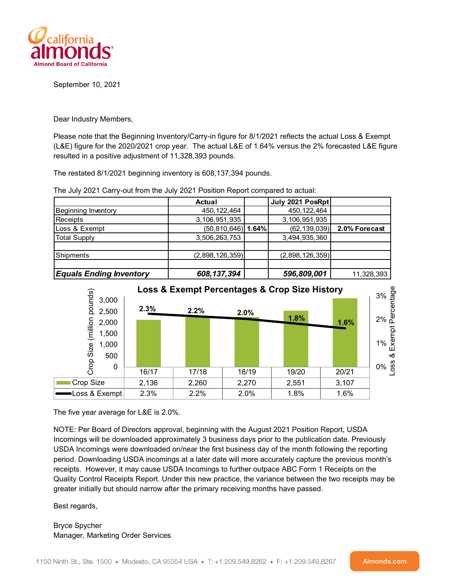

September 10, 2021

Dear Industry Members,

Please note that the Beginning Inventory/Carry-in figure for 8/1/2021 reflects the actual Loss & Exempt (L&E) figure for the 2020/2021 crop year. The actual L&E of 1.64% versus the 2% forecasted L&E figure resulted in a positive adjustment of 11,328,393 pounds.

The restated 8/1/2021 beginning inventory is 608,137,394 pounds.

|                                | Actual                 | July 2021 PosRpt |               |
|--------------------------------|------------------------|------------------|---------------|
| Beginning Inventory            | 450, 122, 464          | 450, 122, 464    |               |
| Receipts                       | 3,106,951,935          | 3,106,951,935    |               |
| Loss & Exempt                  | $(50, 810, 646)$ 1.64% | (62, 139, 039)   | 2.0% Forecast |
| Total Supply                   | 3,506,263,753          | 3,494,935,360    |               |
|                                |                        |                  |               |
| Shipments                      | (2,898,126,359)        | (2,898,126,359)  |               |
|                                |                        |                  |               |
| <b>Equals Ending Inventory</b> | 608, 137, 394          | 596,809,001      | 11,328,393    |

The July 2021 Carry-out from the July 2021 Position Report compared to actual:



The five year average for L&E is 2.0%.

NOTE: Per Board of Directors approval, beginning with the August 2021 Position Report, USDA Incomings will be downloaded approximately 3 business days prior to the publication date. Previously USDA Incomings were downloaded on/near the first business day of the month following the reporting period. Downloading USDA incomings at a later date will more accurately capture the previous month's receipts. However, it may cause USDA Incomings to further outpace ABC Form 1 Receipts on the Quality Control Receipts Report. Under this new practice, the variance between the two receipts may be greater initially but should narrow after the primary receiving months have passed.

Best regards,

Bryce Spycher Manager, Marketing Order Services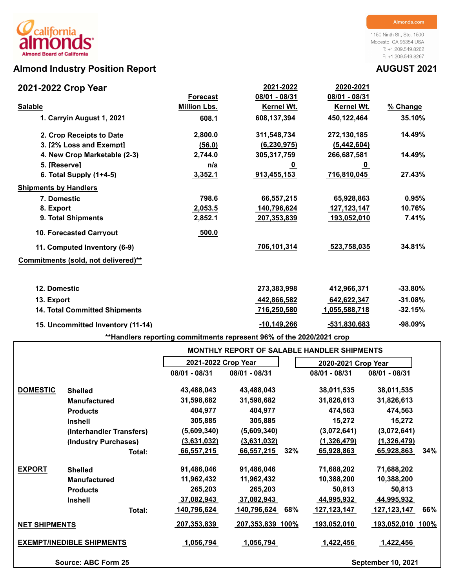# **Almond Industry Position Report AUGUST 2021**

1150 Ninth St., Ste. 1500 Modesto, CA 95354 USA T: +1.209.549.8262 F: +1.209.549.8267

| 2021-2022 Crop Year                  |                     | 2021-2022     | 2020-2021            |            |
|--------------------------------------|---------------------|---------------|----------------------|------------|
|                                      | <b>Forecast</b>     | 08/01 - 08/31 | 08/01 - 08/31        |            |
| <b>Salable</b>                       | <b>Million Lbs.</b> | Kernel Wt.    | Kernel Wt.           | % Change   |
| 1. Carryin August 1, 2021            | 608.1               | 608,137,394   | 450,122,464          | 35.10%     |
| 2. Crop Receipts to Date             | 2,800.0             | 311,548,734   | 272,130,185          | 14.49%     |
| 3. [2% Loss and Exempt]              | (56.0)              | (6, 230, 975) | (5,442,604)          |            |
| 4. New Crop Marketable (2-3)         | 2,744.0             | 305,317,759   | 266,687,581          | 14.49%     |
| 5. [Reserve]                         | n/a                 | <u>_0</u>     | <u>_0</u>            |            |
| 6. Total Supply (1+4-5)              | 3,352.1             | 913,455,153   | 716,810,045          | 27.43%     |
| <b>Shipments by Handlers</b>         |                     |               |                      |            |
| 7. Domestic                          | 798.6               | 66,557,215    | 65,928,863           | 0.95%      |
| 8. Export                            | 2,053.5             | 140,796,624   | 127, 123, 147        | 10.76%     |
| 9. Total Shipments                   | 2,852.1             | 207,353,839   | 193,052,010          | 7.41%      |
| 10. Forecasted Carryout              | 500.0               |               |                      |            |
| 11. Computed Inventory (6-9)         |                     | 706,101,314   | 523,758,035          | 34.81%     |
| Commitments (sold, not delivered)**  |                     |               |                      |            |
| 12. Domestic                         |                     | 273,383,998   | 412,966,371          | $-33.80\%$ |
| 13. Export                           |                     | 442,866,582   | 642,622,347          | $-31.08%$  |
| <b>14. Total Committed Shipments</b> |                     | 716,250,580   | <u>1,055,588,718</u> | $-32.15%$  |
| 15. Uncommitted Inventory (11-14)    |                     | $-10,149,266$ | -531,830,683         | $-98.09%$  |

**\*\*Handlers reporting commitments represent 96% of the 2020/2021 crop**

|                                  |                          |                     |                    | <b>MONTHLY REPORT OF SALABLE HANDLER SHIPMENTS</b> |                           |
|----------------------------------|--------------------------|---------------------|--------------------|----------------------------------------------------|---------------------------|
|                                  |                          | 2021-2022 Crop Year |                    | 2020-2021 Crop Year                                |                           |
|                                  |                          | 08/01 - 08/31       | 08/01 - 08/31      | 08/01 - 08/31                                      | 08/01 - 08/31             |
| <b>DOMESTIC</b>                  | <b>Shelled</b>           | 43,488,043          | 43,488,043         | 38,011,535                                         | 38,011,535                |
|                                  | <b>Manufactured</b>      | 31,598,682          | 31,598,682         | 31,826,613                                         | 31,826,613                |
|                                  | <b>Products</b>          | 404,977             | 404,977            | 474,563                                            | 474,563                   |
|                                  | <b>Inshell</b>           | 305,885             | 305,885            | 15,272                                             | 15,272                    |
|                                  | (Interhandler Transfers) | (5,609,340)         | (5,609,340)        | (3,072,641)                                        | (3,072,641)               |
|                                  | (Industry Purchases)     | (3,631,032)         | (3,631,032)        | (1,326,479)                                        | (1, 326, 479)             |
|                                  | Total:                   | 66,557,215          | 66,557,215<br>32%  | 65,928,863                                         | 34%<br>65,928,863         |
| <b>EXPORT</b>                    | <b>Shelled</b>           | 91,486,046          | 91,486,046         | 71,688,202                                         | 71,688,202                |
|                                  | <b>Manufactured</b>      | 11,962,432          | 11,962,432         | 10,388,200                                         | 10,388,200                |
|                                  | <b>Products</b>          | 265,203             | 265,203            | 50,813                                             | 50,813                    |
|                                  | <b>Inshell</b>           | 37,082,943          | <u>37,082,943</u>  | 44,995,932                                         | <u>44,995,932</u>         |
|                                  | Total:                   | 140,796,624         | 140,796,624<br>68% | 127,123,147                                        | 127, 123, 147<br>66%      |
| <b>NET SHIPMENTS</b>             |                          | 207,353,839         | 207,353,839 100%   | 193,052,010                                        | <u>193,052,010_100%</u>   |
| <b>EXEMPT/INEDIBLE SHIPMENTS</b> |                          | 1,056,794           | 1,056,794          | 1,422,456                                          | 1,422,456                 |
|                                  | Source: ABC Form 25      |                     |                    |                                                    | <b>September 10, 2021</b> |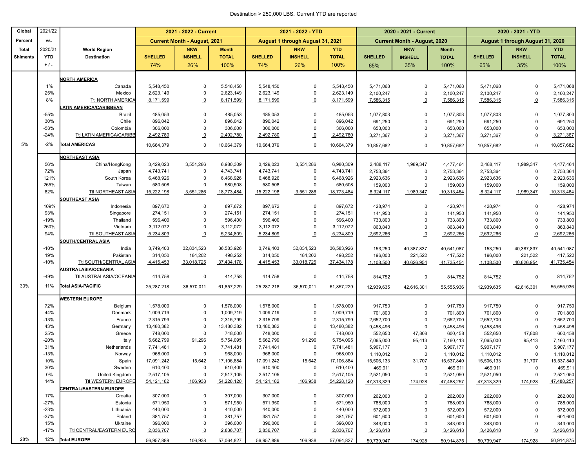### Destination > 250,000 LBS. Current YTD are reported

| Global          | 2021/22     |                                  |                       | 2021 - 2022 - Current               |                       |                       | 2021 - 2022 - YTD                |                       |                      | 2020 - 2021 - Current               |                       | 2020 - 2021 - YTD    |                                  |                       |
|-----------------|-------------|----------------------------------|-----------------------|-------------------------------------|-----------------------|-----------------------|----------------------------------|-----------------------|----------------------|-------------------------------------|-----------------------|----------------------|----------------------------------|-----------------------|
| Percent         | VS.         |                                  |                       | <b>Current Month - August, 2021</b> |                       |                       | August 1 through August 31, 2021 |                       |                      | <b>Current Month - August, 2020</b> |                       |                      | August 1 through August 31, 2020 |                       |
| <b>Total</b>    | 2020/21     | <b>World Region</b>              |                       | <b>NKW</b>                          | <b>Month</b>          |                       | <b>NKW</b>                       | <b>YTD</b>            |                      | <b>NKW</b>                          | <b>Month</b>          |                      | <b>NKW</b>                       | <b>YTD</b>            |
| <b>Shiments</b> | <b>YTD</b>  | <b>Destination</b>               | <b>SHELLED</b>        | <b>INSHELL</b>                      | <b>TOTAL</b>          | <b>SHELLED</b>        | <b>INSHELL</b>                   | <b>TOTAL</b>          | <b>SHELLED</b>       | <b>INSHELL</b>                      | <b>TOTAL</b>          | <b>SHELLED</b>       | <b>INSHELL</b>                   | <b>TOTAL</b>          |
|                 | $+1$ .      |                                  | 74%                   | 26%                                 | 100%                  | 74%                   | 26%                              | 100%                  | 65%                  | 35%                                 | 100%                  | 65%                  | 35%                              | 100%                  |
|                 |             |                                  |                       |                                     |                       |                       |                                  |                       |                      |                                     |                       |                      |                                  |                       |
|                 |             | <b>NORTH AMERICA</b>             |                       |                                     |                       |                       |                                  |                       |                      |                                     |                       |                      |                                  |                       |
|                 | 1%          | Canada                           | 5,548,450             | $\mathbf{0}$                        | 5,548,450             | 5,548,450             | $\Omega$                         | 5,548,450             | 5,471,068            | $\Omega$                            | 5,471,068             | 5,471,068            | $\Omega$                         | 5,471,068             |
|                 | 25%         | Mexico                           | 2,623,149             | $\mathbf 0$                         | 2,623,149             | 2,623,149             | 0                                | 2,623,149             | 2,100,247            | $\mathbf 0$                         | 2,100,247             | 2,100,247            | $\mathbf 0$                      | 2,100,247             |
|                 | 8%          | Ttl NORTH AMERICA                | 8,171,599             | $\Omega$                            | 8,171,599             | 8,171,599             | $\Omega$                         | 8,171,599             | 7,586,315            | $\overline{0}$                      | 7,586,315             | 7,586,315            | $\overline{0}$                   | 7,586,315             |
|                 | $-55%$      | ATIN AMERICA/CARIBBEAN<br>Brazil | 485,053               | $\mathbf 0$                         | 485,053               | 485,053               | $\mathbf 0$                      | 485,053               |                      | $\Omega$                            |                       | 1,077,803            | $\Omega$                         |                       |
|                 | 30%         | Chile                            | 896,042               | $\mathbf{0}$                        | 896,042               | 896,042               | $\Omega$                         | 896,042               | 1,077,803<br>691,250 | $\Omega$                            | 1,077,803<br>691,250  | 691,250              | $\Omega$                         | 1,077,803<br>691,250  |
|                 | $-53%$      | Colombia                         | 306,000               | $\mathbf 0$                         | 306,000               | 306,000               | 0                                | 306,000               | 653,000              | $\mathbf 0$                         | 653,000               | 653,000              | $\Omega$                         | 653,000               |
|                 | $-24%$      | Ttl LATIN AMERICA/CARIBE         | 2,492,780             | $\overline{0}$                      | 2,492,780             | 2,492,780             | $\overline{o}$                   | 2,492,780             | 3,271,367            | $\overline{0}$                      | 3,271,367             | 3,271,367            | $\Omega$                         | 3,271,367             |
| 5%              | $-2%$       | <b>Total AMERICAS</b>            |                       |                                     |                       |                       |                                  |                       |                      |                                     |                       |                      |                                  |                       |
|                 |             |                                  | 10,664,379            | $\mathbf{0}$                        | 10,664,379            | 10,664,379            | $\mathbf 0$                      | 10,664,379            | 10,857,682           | $\mathbf 0$                         | 10,857,682            | 10,857,682           | $\mathbf 0$                      | 10,857,682            |
|                 |             | <b>NORTHEAST ASIA</b>            |                       |                                     |                       |                       |                                  |                       |                      |                                     |                       |                      |                                  |                       |
|                 | 56%         | China/HongKong                   | 3,429,023             | 3,551,286                           | 6,980,309             | 3,429,023             | 3,551,286                        | 6,980,309             | 2,488,117            | 1,989,347                           | 4,477,464             | 2,488,117            | 1,989,347                        | 4,477,464             |
|                 | 72%         | Japan                            | 4,743,741             | $\mathbf 0$                         | 4,743,741             | 4,743,741             | $\mathbf 0$                      | 4,743,741             | 2,753,364            | $\mathbf 0$                         | 2,753,364             | 2,753,364            | $\mathbf 0$                      | 2,753,364             |
|                 | 121%        | South Korea                      | 6,468,926             | $\mathbf 0$                         | 6,468,926             | 6,468,926             | 0<br>$\mathbf 0$                 | 6,468,926             | 2,923,636            | $\mathbf 0$                         | 2,923,636             | 2,923,636            | 0                                | 2,923,636             |
|                 | 265%<br>82% | Taiwan<br>Ttl NORTHEAST ASIA     | 580,508<br>15,222,198 | $\mathbf 0$<br>3,551,286            | 580,508<br>18,773,484 | 580,508<br>15,222,198 | 3,551,286                        | 580,508<br>18,773,484 | 159,000<br>8,324,117 | $\mathbf 0$<br>1,989,347            | 159,000<br>10,313,464 | 159,000              | 0<br>1,989,347                   | 159,000<br>10,313,464 |
|                 |             | <b>SOUTHEAST ASIA</b>            |                       |                                     |                       |                       |                                  |                       |                      |                                     |                       | 8,324,117            |                                  |                       |
|                 | 109%        | Indonesia                        | 897,672               | $\mathbf{0}$                        | 897,672               | 897,672               | $\Omega$                         | 897,672               | 428,974              | $\Omega$                            | 428,974               | 428,974              | $\mathbf 0$                      | 428,974               |
|                 | 93%         | Singapore                        | 274,151               | $\mathbf 0$                         | 274,151               | 274,151               | $\Omega$                         | 274,151               | 141,950              | $\mathbf 0$                         | 141,950               | 141,950              | $\Omega$                         | 141,950               |
|                 | $-19%$      | Thailand                         | 596,400               | $\Omega$                            | 596,400               | 596,400               | $\Omega$                         | 596,400               | 733,800              | $\Omega$                            | 733,800               | 733,800              | $\Omega$                         | 733,800               |
|                 | 260%        | Vietnam                          | 3,112,072             | $\mathbf 0$                         | 3,112,072             | 3,112,072             | 0                                | 3,112,072             | 863,840              | $\mathbf 0$                         | 863,840               | 863,840              | $\mathbf 0$                      | 863,840               |
|                 | 94%         | Ttl SOUTHEAST ASIA               | 5,234,809             | $\overline{0}$                      | 5,234,809             | 5,234,809             | $\overline{o}$                   | 5,234,809             | 2,692,266            | $\overline{0}$                      | 2,692,266             | 2,692,266            | $\Omega$                         | 2,692,266             |
|                 |             | <b>SOUTH/CENTRAL ASIA</b>        |                       |                                     |                       |                       |                                  |                       |                      |                                     |                       |                      |                                  |                       |
|                 | $-10%$      | India                            | 3,749,403             | 32,834,523                          | 36,583,926            | 3,749,403             | 32,834,523                       | 36,583,926            | 153,250              | 40,387,837                          | 40,541,087            | 153,250              | 40,387,837                       | 40,541,087            |
|                 | 19%         | Pakistan                         | 314,050               | 184,202                             | 498,252               | 314,050               | 184,202                          | 498,252               | 196,000              | 221,522                             | 417,522               | 196,000              | 221,522                          | 417,522               |
|                 | $-10%$      | <b>Ttl SOUTH/CENTRAL ASIA</b>    | 4,415,453             | 33,018,725                          | 37,434,178            | 4,415,453             | 33,018,725                       | 37,434,178            | 1,108,500            | 40,626,954                          | 41,735,454            | 1,108,500            | 40,626,954                       | 41,735,454            |
|                 |             | <b>AUSTRALASIA/OCEANIA</b>       |                       |                                     |                       |                       |                                  |                       |                      |                                     |                       |                      |                                  |                       |
|                 | $-49%$      | Ttl AUSTRALASIA/OCEANIA          | 414,758               | $\overline{0}$                      | 414,758               | 414,758               | $\overline{0}$                   | 414,758               | 814,752              | $\overline{0}$                      | 814,752               | 814,752              | $\overline{0}$                   | 814,752               |
| 30%             | 11%         | Total ASIA-PACIFIC               | 25,287,218            | 36,570,011                          | 61,857,229            | 25,287,218            | 36,570,011                       | 61,857,229            | 12,939,635           | 42,616,301                          | 55,555,936            | 12,939,635           | 42,616,301                       | 55,555,936            |
|                 |             | <b>WESTERN EUROPE</b>            |                       |                                     |                       |                       |                                  |                       |                      |                                     |                       |                      |                                  |                       |
|                 | 72%         | Belgium                          | 1,578,000             | 0                                   | 1,578,000             | 1,578,000             | 0                                | 1,578,000             | 917,750              | $\mathbf 0$                         | 917,750               | 917,750              | 0                                | 917,750               |
|                 | 44%         | Denmark                          | 1,009,719             | $\mathbf 0$                         | 1,009,719             | 1,009,719             | 0                                | 1,009,719             | 701,800              | $\mathbf 0$                         | 701,800               | 701,800              | $\mathbf 0$                      | 701,800               |
|                 | $-13%$      | France                           | 2,315,799             | $\mathbf 0$                         | 2,315,799             | 2,315,799             | 0                                | 2,315,799             | 2,652,700            | $\mathbf 0$                         | 2,652,700             | 2,652,700            | $\mathbf 0$                      | 2,652,700             |
|                 | 43%         | Germany                          | 13,480,382            | $\overline{0}$                      | 13,480,382            | 13,480,382            | $\mathbf 0$                      | 13,480,382            | 9,458,496            | $\mathbf 0$                         | 9,458,496             | 9,458,496            | $\Omega$                         | 9,458,496             |
|                 | 25%         | Greece                           | 748,000               | $\mathbf 0$                         | 748,000               | 748,000               | $\mathbf 0$                      | 748,000               | 552,650              | 47,808                              | 600,458               | 552,650              | 47,808                           | 600,458               |
|                 | $-20%$      | Italy                            | 5,662,799             | 91,296                              | 5,754,095             | 5,662,799             | 91,296                           | 5,754,095             | 7,065,000            | 95,413                              | 7,160,413             | 7,065,000            | 95,413                           | 7,160,413             |
|                 | 31%         | Netherlands                      | 7,741,481             | $\Omega$                            | 7,741,481             | 7,741,481             | $\mathbf 0$                      | 7,741,481             | 5,907,177            | $\mathbf 0$                         | 5,907,177             | 5,907,177            | $\mathbf 0$                      | 5,907,177             |
|                 | $-13%$      | Norway                           | 968,000               | $\Omega$                            | 968,000               | 968,000               | $\Omega$                         | 968,000               | 1,110,012            | $\mathbf 0$                         | 1,110,012             | 1,110,012            | $\mathbf 0$                      | 1,110,012             |
|                 | 10%<br>30%  | Spain                            | 17,091,242            | 15,642                              | 17,106,884            | 17,091,242            | 15,642                           | 17,106,884            | 15,506,133           | 31,707                              | 15,537,840            | 15,506,133           | 31,707                           | 15,537,840            |
|                 | 0%          | Sweden<br>United Kingdom         | 610,400<br>2,517,105  | $\mathbf 0$<br>$\mathbf 0$          | 610,400<br>2,517,105  | 610,400<br>2,517,105  | 0<br>$\mathbf 0$                 | 610,400<br>2,517,105  | 469,911<br>2,521,050 | 0<br>$\pmb{0}$                      | 469,911<br>2,521,050  | 469,911<br>2,521,050 | 0<br>0                           | 469,911<br>2,521,050  |
|                 | 14%         | Ttl WESTERN EUROPE               | 54, 121, 182          | 106,938                             | 54,228,120            | 54, 121, 182          | 106,938                          | 54,228,120            | 47,313,329           | 174,928                             | 47,488,257            | 47,313,329           | 174,928                          | 47,488,257            |
|                 |             | <b>CENTRAL/EASTERN EUROPE</b>    |                       |                                     |                       |                       |                                  |                       |                      |                                     |                       |                      |                                  |                       |
|                 | 17%         | Croatia                          | 307,000               | $\mathbf 0$                         | 307,000               | 307,000               | 0                                | 307,000               | 262,000              | 0                                   | 262,000               | 262,000              | 0                                | 262,000               |
|                 | $-27%$      | Estonia                          | 571,950               | $\mathbf 0$                         | 571,950               | 571,950               | 0                                | 571,950               | 788,000              | 0                                   | 788,000               | 788,000              | $\mathbf 0$                      | 788,000               |
|                 | $-23%$      | Lithuania                        | 440,000               | $\mathbf 0$                         | 440,000               | 440,000               | 0                                | 440,000               | 572,000              | 0                                   | 572,000               | 572,000              | 0                                | 572,000               |
|                 | $-37%$      | Poland                           | 381,757               | $\overline{0}$                      | 381,757               | 381,757               | 0                                | 381,757               | 601,600              | 0                                   | 601,600               | 601,600              | 0                                | 601,600               |
|                 | 15%         | Ukraine                          | 396,000               | 0                                   | 396,000               | 396,000               | 0                                | 396,000               | 343,000              | 0                                   | 343,000               | 343,000              | 0                                | 343,000               |
|                 | $-17%$      | Ttl CENTRAL/EASTERN EURO         | 2,836,707             | $\Omega$                            | 2,836,707             | 2,836,707             | $\overline{0}$                   | 2,836,707             | 3,426,618            | $\overline{0}$                      | 3,426,618             | 3,426,618            | $\Omega$                         | 3,426,618             |
| 28%             | 12%         | <b>Total EUROPE</b>              | 56,957,889            | 106,938                             | 57,064,827            | 56,957,889            | 106,938                          | 57,064,827            | 50,739,947           | 174,928                             | 50,914,875            | 50,739,947           | 174,928                          | 50,914,875            |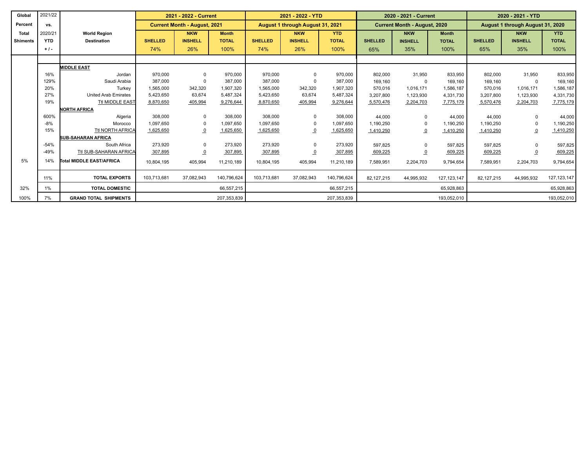| Global          | 2021/22    |                              | 2021 - 2022 - Current |                                     |              | 2021 - 2022 - YTD |                                  |              | 2020 - 2021 - Current |                                     |               | 2020 - 2021 - YTD |                                  |               |
|-----------------|------------|------------------------------|-----------------------|-------------------------------------|--------------|-------------------|----------------------------------|--------------|-----------------------|-------------------------------------|---------------|-------------------|----------------------------------|---------------|
| Percent         | VS.        |                              |                       | <b>Current Month - August, 2021</b> |              |                   | August 1 through August 31, 2021 |              |                       | <b>Current Month - August, 2020</b> |               |                   | August 1 through August 31, 2020 |               |
| <b>Total</b>    | 2020/21    | <b>World Region</b>          |                       | <b>NKW</b>                          | <b>Month</b> |                   | <b>NKW</b>                       | <b>YTD</b>   |                       | <b>NKW</b>                          | <b>Month</b>  |                   | <b>NKW</b>                       | <b>YTD</b>    |
| <b>Shiments</b> | <b>YTD</b> | <b>Destination</b>           | <b>SHELLED</b>        | <b>INSHELL</b>                      | <b>TOTAL</b> | <b>SHELLED</b>    | <b>INSHELL</b>                   | <b>TOTAL</b> | <b>SHELLED</b>        | <b>INSHELL</b>                      | <b>TOTAL</b>  | <b>SHELLED</b>    | <b>INSHELL</b>                   | <b>TOTAL</b>  |
|                 | $+1$ .     |                              | 74%                   | 26%                                 | 100%         | 74%               | 26%                              | 100%         | 65%                   | 35%                                 | 100%          | 65%               | 35%                              | 100%          |
|                 |            |                              |                       |                                     |              |                   |                                  |              |                       |                                     |               |                   |                                  |               |
|                 |            | <b>MIDDLE EAST</b>           |                       |                                     |              |                   |                                  |              |                       |                                     |               |                   |                                  |               |
|                 | 16%        | Jordan                       | 970.000               | $\mathbf 0$                         | 970.000      | 970.000           | $\mathbf 0$                      | 970,000      | 802,000               | 31,950                              | 833.950       | 802.000           | 31,950                           | 833,950       |
|                 | 129%       | Saudi Arabia                 | 387.000               | 0                                   | 387,000      | 387,000           | $\Omega$                         | 387,000      | 169,160               | $\Omega$                            | 169.160       | 169.160           | $\mathbf 0$                      | 169,160       |
|                 | 20%        | Turkey                       | 1,565,000             | 342,320                             | 1,907,320    | 1,565,000         | 342,320                          | 1,907,320    | 570,016               | 1,016,171                           | 1,586,187     | 570,016           | 1,016,171                        | 1,586,187     |
|                 | 27%        | <b>United Arab Emirates</b>  | 5,423,650             | 63,674                              | 5,487,324    | 5,423,650         | 63,674                           | 5,487,324    | 3,207,800             | 1,123,930                           | 4,331,730     | 3,207,800         | 1,123,930                        | 4,331,730     |
|                 | 19%        | <b>Ttl MIDDLE EAST</b>       | 8,870,650             | 405,994                             | 9,276,644    | 8,870,650         | 405,994                          | 9,276,644    | 5,570,476             | 2,204,703                           | 7,775,179     | 5,570,476         | 2,204,703                        | 7,775,179     |
|                 |            | <b>NORTH AFRICA</b>          |                       |                                     |              |                   |                                  |              |                       |                                     |               |                   |                                  |               |
|                 | 600%       | Algeria                      | 308,000               | $\mathbf 0$                         | 308,000      | 308,000           | 0                                | 308,000      | 44,000                | $\Omega$                            | 44,000        | 44,000            | $\mathbf{0}$                     | 44,000        |
|                 | $-8%$      | Morocco                      | 1.097.650             | $\Omega$                            | 1.097.650    | 1.097.650         | 0                                | 1,097,650    | 1,190,250             | $\Omega$                            | 1,190,250     | 1,190,250         | $\Omega$                         | 1,190,250     |
|                 | 15%        | <b>Ttl NORTH AFRICA</b>      | 1,625,650             | $\overline{0}$                      | 1,625,650    | 1,625,650         | $\overline{0}$                   | 1,625,650    | 1,410,250             | $\overline{0}$                      | 1,410,250     | 1,410,250         | $\overline{0}$                   | 1,410,250     |
|                 |            | <b>SUB-SAHARAN AFRICA</b>    |                       |                                     |              |                   |                                  |              |                       |                                     |               |                   |                                  |               |
|                 | $-54%$     | South Africa                 | 273,920               | 0                                   | 273,920      | 273,920           | $\mathbf 0$                      | 273,920      | 597,825               | $\Omega$                            | 597,825       | 597.825           | $\mathbf{0}$                     | 597,825       |
|                 | $-49%$     | Ttl SUB-SAHARAN AFRICA       | 307,895               | $\overline{0}$                      | 307,895      | 307,895           | $\Omega$                         | 307,895      | 609,225               | $\overline{0}$                      | 609,225       | 609,225           | $\overline{0}$                   | 609,225       |
| 5%              | 14%        | Total MIDDLE EAST/AFRICA     | 10,804,195            | 405,994                             | 11,210,189   | 10,804,195        | 405,994                          | 11,210,189   | 7,589,951             | 2,204,703                           | 9,794,654     | 7,589,951         | 2,204,703                        | 9,794,654     |
|                 | 11%        | <b>TOTAL EXPORTS</b>         | 103,713,681           | 37,082,943                          | 140,796,624  | 103,713,681       | 37,082,943                       | 140,796,624  | 82,127,215            | 44,995,932                          | 127, 123, 147 | 82,127,215        | 44,995,932                       | 127, 123, 147 |
| 32%             | 1%         | <b>TOTAL DOMESTIC</b>        |                       |                                     | 66,557,215   |                   |                                  | 66,557,215   |                       |                                     | 65,928,863    |                   |                                  | 65,928,863    |
| 100%            | 7%         | <b>GRAND TOTAL SHIPMENTS</b> |                       |                                     | 207,353,839  |                   |                                  | 207,353,839  |                       |                                     | 193,052,010   |                   |                                  | 193,052,010   |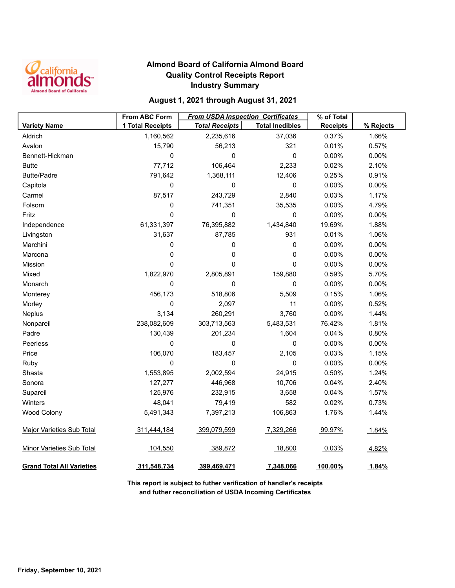

## **Almond Board of California Almond Board Quality Control Receipts Report Industry Summary**

## **August 1, 2021 through August 31, 2021**

|                                  | <b>From ABC Form</b> | <b>From USDA Inspection Certificates</b> |                        | % of Total      |           |
|----------------------------------|----------------------|------------------------------------------|------------------------|-----------------|-----------|
| <b>Variety Name</b>              | 1 Total Receipts     | <b>Total Receipts</b>                    | <b>Total Inedibles</b> | <b>Receipts</b> | % Rejects |
| Aldrich                          | 1,160,562            | 2,235,616                                | 37,036                 | 0.37%           | 1.66%     |
| Avalon                           | 15,790               | 56,213                                   | 321                    | 0.01%           | 0.57%     |
| Bennett-Hickman                  | 0                    | 0                                        | 0                      | 0.00%           | 0.00%     |
| <b>Butte</b>                     | 77,712               | 106,464                                  | 2,233                  | 0.02%           | 2.10%     |
| <b>Butte/Padre</b>               | 791,642              | 1,368,111                                | 12,406                 | 0.25%           | 0.91%     |
| Capitola                         | 0                    | 0                                        | 0                      | 0.00%           | 0.00%     |
| Carmel                           | 87,517               | 243,729                                  | 2,840                  | 0.03%           | 1.17%     |
| Folsom                           | 0                    | 741,351                                  | 35,535                 | 0.00%           | 4.79%     |
| Fritz                            | 0                    | 0                                        | 0                      | 0.00%           | 0.00%     |
| Independence                     | 61,331,397           | 76,395,882                               | 1,434,840              | 19.69%          | 1.88%     |
| Livingston                       | 31,637               | 87,785                                   | 931                    | 0.01%           | 1.06%     |
| Marchini                         | 0                    | 0                                        | 0                      | 0.00%           | 0.00%     |
| Marcona                          | 0                    | 0                                        | 0                      | 0.00%           | 0.00%     |
| Mission                          | 0                    | 0                                        | $\mathbf 0$            | 0.00%           | 0.00%     |
| Mixed                            | 1,822,970            | 2,805,891                                | 159,880                | 0.59%           | 5.70%     |
| Monarch                          | 0                    | 0                                        | 0                      | 0.00%           | 0.00%     |
| Monterey                         | 456,173              | 518,806                                  | 5,509                  | 0.15%           | 1.06%     |
| Morley                           | 0                    | 2,097                                    | 11                     | 0.00%           | 0.52%     |
| Neplus                           | 3,134                | 260,291                                  | 3,760                  | 0.00%           | 1.44%     |
| Nonpareil                        | 238,082,609          | 303,713,563                              | 5,483,531              | 76.42%          | 1.81%     |
| Padre                            | 130,439              | 201,234                                  | 1,604                  | 0.04%           | 0.80%     |
| Peerless                         | 0                    | 0                                        | 0                      | 0.00%           | 0.00%     |
| Price                            | 106,070              | 183,457                                  | 2,105                  | 0.03%           | 1.15%     |
| Ruby                             | 0                    | 0                                        | 0                      | 0.00%           | 0.00%     |
| Shasta                           | 1,553,895            | 2,002,594                                | 24,915                 | 0.50%           | 1.24%     |
| Sonora                           | 127,277              | 446,968                                  | 10,706                 | 0.04%           | 2.40%     |
| Supareil                         | 125,976              | 232,915                                  | 3,658                  | 0.04%           | 1.57%     |
| Winters                          | 48,041               | 79,419                                   | 582                    | 0.02%           | 0.73%     |
| <b>Wood Colony</b>               | 5,491,343            | 7,397,213                                | 106,863                | 1.76%           | 1.44%     |
| <b>Major Varieties Sub Total</b> | 311,444,184          | 399,079,599                              | 7,329,266              | 99.97%          | 1.84%     |
| <b>Minor Varieties Sub Total</b> | 104,550              | 389,872                                  | 18,800                 | 0.03%           | 4.82%     |
| <b>Grand Total All Varieties</b> | 311,548,734          | 399,469,471                              | 7,348,066              | 100.00%         | 1.84%     |

**This report is subject to futher verification of handler's receipts and futher reconciliation of USDA Incoming Certificates**